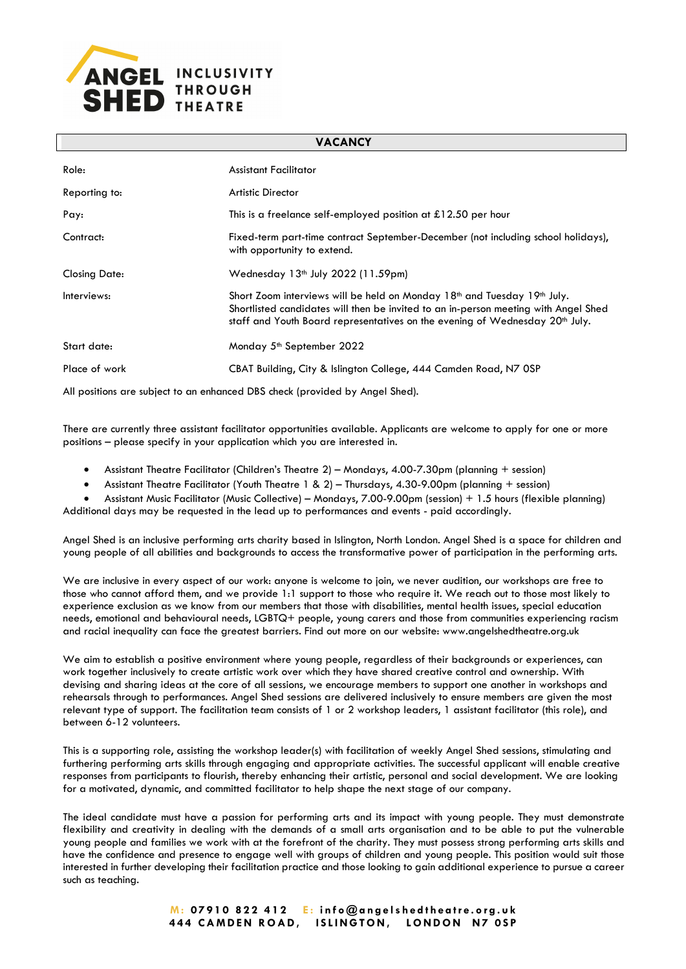

| <b>VALANLI</b>       |                                                                                                                                                                                                                                                                 |
|----------------------|-----------------------------------------------------------------------------------------------------------------------------------------------------------------------------------------------------------------------------------------------------------------|
| Role:                | <b>Assistant Facilitator</b>                                                                                                                                                                                                                                    |
| Reporting to:        | <b>Artistic Director</b>                                                                                                                                                                                                                                        |
| Pay:                 | This is a freelance self-employed position at $£12.50$ per hour                                                                                                                                                                                                 |
| Contract:            | Fixed-term part-time contract September-December (not including school holidays),<br>with opportunity to extend.                                                                                                                                                |
| <b>Closing Date:</b> | Wednesday 13 <sup>th</sup> July 2022 (11.59pm)                                                                                                                                                                                                                  |
| Interviews:          | Short Zoom interviews will be held on Monday $18th$ and Tuesday $19th$ July.<br>Shortlisted candidates will then be invited to an in-person meeting with Angel Shed<br>staff and Youth Board representatives on the evening of Wednesday 20 <sup>th</sup> July. |
| Start date:          | Monday 5 <sup>th</sup> September 2022                                                                                                                                                                                                                           |
| Place of work        | CBAT Building, City & Islington College, 444 Camden Road, N7 OSP                                                                                                                                                                                                |
|                      |                                                                                                                                                                                                                                                                 |

**VACANCY**

All positions are subject to an enhanced DBS check (provided by Angel Shed).

There are currently three assistant facilitator opportunities available. Applicants are welcome to apply for one or more positions – please specify in your application which you are interested in.

- Assistant Theatre Facilitator (Children's Theatre 2) Mondays, 4.00-7.30pm (planning + session)
- Assistant Theatre Facilitator (Youth Theatre 1 & 2) Thursdays, 4.30-9.00pm (planning + session)
- Assistant Music Facilitator (Music Collective) Mondays, 7.00-9.00pm (session) + 1.5 hours (flexible planning) Additional days may be requested in the lead up to performances and events - paid accordingly.

Angel Shed is an inclusive performing arts charity based in Islington, North London. Angel Shed is a space for children and young people of all abilities and backgrounds to access the transformative power of participation in the performing arts.

We are inclusive in every aspect of our work: anyone is welcome to join, we never audition, our workshops are free to those who cannot afford them, and we provide 1:1 support to those who require it. We reach out to those most likely to experience exclusion as we know from our members that those with disabilities, mental health issues, special education needs, emotional and behavioural needs, LGBTQ+ people, young carers and those from communities experiencing racism and racial inequality can face the greatest barriers. Find out more on our website: www.angelshedtheatre.org.uk

We aim to establish a positive environment where young people, regardless of their backgrounds or experiences, can work together inclusively to create artistic work over which they have shared creative control and ownership. With devising and sharing ideas at the core of all sessions, we encourage members to support one another in workshops and rehearsals through to performances. Angel Shed sessions are delivered inclusively to ensure members are given the most relevant type of support. The facilitation team consists of 1 or 2 workshop leaders, 1 assistant facilitator (this role), and between 6-12 volunteers.

This is a supporting role, assisting the workshop leader(s) with facilitation of weekly Angel Shed sessions, stimulating and furthering performing arts skills through engaging and appropriate activities. The successful applicant will enable creative responses from participants to flourish, thereby enhancing their artistic, personal and social development. We are looking for a motivated, dynamic, and committed facilitator to help shape the next stage of our company.

The ideal candidate must have a passion for performing arts and its impact with young people. They must demonstrate flexibility and creativity in dealing with the demands of a small arts organisation and to be able to put the vulnerable young people and families we work with at the forefront of the charity. They must possess strong performing arts skills and have the confidence and presence to engage well with groups of children and young people. This position would suit those interested in further developing their facilitation practice and those looking to gain additional experience to pursue a career such as teaching.

> **M : 07910 822 412 E : info@angelshedtheatre.org.uk 444 CAMDEN ROAD, ISLINGTON, LONDON N7 0SP**